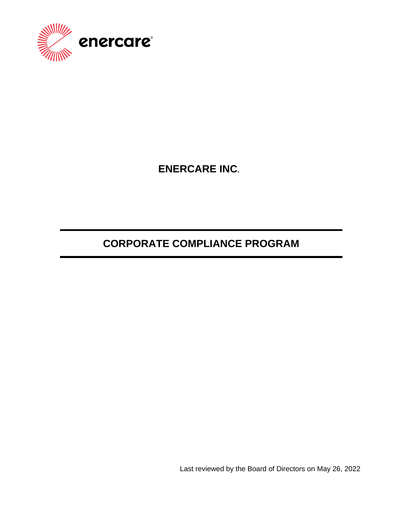

**ENERCARE INC.**

# **CORPORATE COMPLIANCE PROGRAM**

Last reviewed by the Board of Directors on May 26, 2022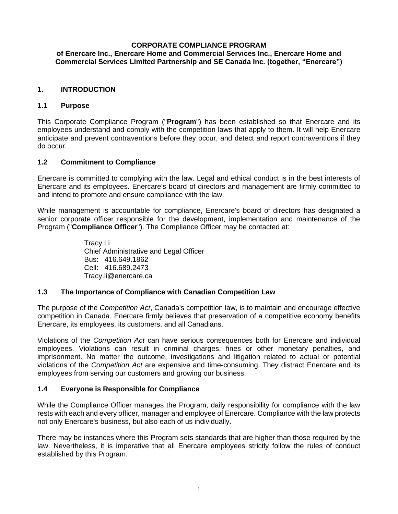#### **CORPORATE COMPLIANCE PROGRAM of Enercare Inc., Enercare Home and Commercial Services Inc., Enercare Home and Commercial Services Limited Partnership and SE Canada Inc. (together, "Enercare")**

# **1. INTRODUCTION**

## **1.1 Purpose**

This Corporate Compliance Program ("**Program**") has been established so that Enercare and its employees understand and comply with the competition laws that apply to them. It will help Enercare anticipate and prevent contraventions before they occur, and detect and report contraventions if they do occur.

## **1.2 Commitment to Compliance**

Enercare is committed to complying with the law. Legal and ethical conduct is in the best interests of Enercare and its employees. Enercare's board of directors and management are firmly committed to and intend to promote and ensure compliance with the law.

While management is accountable for compliance, Enercare's board of directors has designated a senior corporate officer responsible for the development, implementation and maintenance of the Program ("**Compliance Officer**"). The Compliance Officer may be contacted at:

> Tracy Li Chief Administrative and Legal Officer Bus: 416.649.1862 Cell: 416.689.2473 Tracy.li@enercare.ca

## **1.3 The Importance of Compliance with Canadian Competition Law**

The purpose of the *Competition Act*, Canada's competition law, is to maintain and encourage effective competition in Canada. Enercare firmly believes that preservation of a competitive economy benefits Enercare, its employees, its customers, and all Canadians.

Violations of the *Competition Act* can have serious consequences both for Enercare and individual employees. Violations can result in criminal charges, fines or other monetary penalties, and imprisonment. No matter the outcome, investigations and litigation related to actual or potential violations of the *Competition Act* are expensive and time-consuming. They distract Enercare and its employees from serving our customers and growing our business.

## **1.4 Everyone is Responsible for Compliance**

While the Compliance Officer manages the Program, daily responsibility for compliance with the law rests with each and every officer, manager and employee of Enercare. Compliance with the law protects not only Enercare's business, but also each of us individually.

There may be instances where this Program sets standards that are higher than those required by the law. Nevertheless, it is imperative that all Enercare employees strictly follow the rules of conduct established by this Program.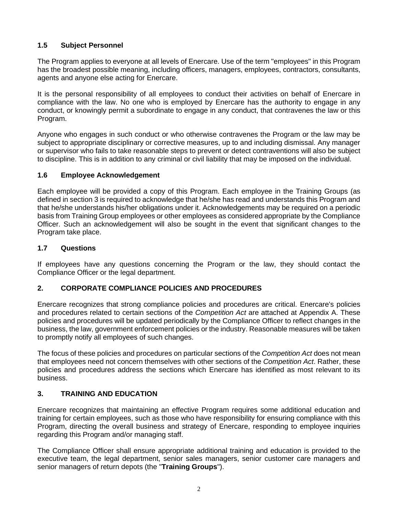# **1.5 Subject Personnel**

The Program applies to everyone at all levels of Enercare. Use of the term "employees" in this Program has the broadest possible meaning, including officers, managers, employees, contractors, consultants, agents and anyone else acting for Enercare.

It is the personal responsibility of all employees to conduct their activities on behalf of Enercare in compliance with the law. No one who is employed by Enercare has the authority to engage in any conduct, or knowingly permit a subordinate to engage in any conduct, that contravenes the law or this Program.

Anyone who engages in such conduct or who otherwise contravenes the Program or the law may be subject to appropriate disciplinary or corrective measures, up to and including dismissal. Any manager or supervisor who fails to take reasonable steps to prevent or detect contraventions will also be subject to discipline. This is in addition to any criminal or civil liability that may be imposed on the individual.

# **1.6 Employee Acknowledgement**

Each employee will be provided a copy of this Program. Each employee in the Training Groups (as defined in section [3](#page-2-0) is required to acknowledge that he/she has read and understands this Program and that he/she understands his/her obligations under it. Acknowledgements may be required on a periodic basis from Training Group employees or other employees as considered appropriate by the Compliance Officer. Such an acknowledgement will also be sought in the event that significant changes to the Program take place.

# **1.7 Questions**

If employees have any questions concerning the Program or the law, they should contact the Compliance Officer or the legal department.

# **2. CORPORATE COMPLIANCE POLICIES AND PROCEDURES**

Enercare recognizes that strong compliance policies and procedures are critical. Enercare's policies and procedures related to certain sections of the *Competition Act* are attached at Appendix A. These policies and procedures will be updated periodically by the Compliance Officer to reflect changes in the business, the law, government enforcement policies or the industry. Reasonable measures will be taken to promptly notify all employees of such changes.

The focus of these policies and procedures on particular sections of the *Competition Act* does not mean that employees need not concern themselves with other sections of the *Competition Act*. Rather, these policies and procedures address the sections which Enercare has identified as most relevant to its business.

# <span id="page-2-0"></span>**3. TRAINING AND EDUCATION**

Enercare recognizes that maintaining an effective Program requires some additional education and training for certain employees, such as those who have responsibility for ensuring compliance with this Program, directing the overall business and strategy of Enercare, responding to employee inquiries regarding this Program and/or managing staff.

The Compliance Officer shall ensure appropriate additional training and education is provided to the executive team, the legal department, senior sales managers, senior customer care managers and senior managers of return depots (the "**Training Groups**").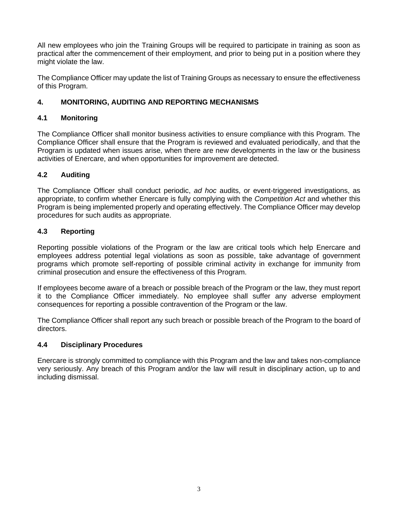All new employees who join the Training Groups will be required to participate in training as soon as practical after the commencement of their employment, and prior to being put in a position where they might violate the law.

The Compliance Officer may update the list of Training Groups as necessary to ensure the effectiveness of this Program.

# **4. MONITORING, AUDITING AND REPORTING MECHANISMS**

# **4.1 Monitoring**

The Compliance Officer shall monitor business activities to ensure compliance with this Program. The Compliance Officer shall ensure that the Program is reviewed and evaluated periodically, and that the Program is updated when issues arise, when there are new developments in the law or the business activities of Enercare, and when opportunities for improvement are detected.

# **4.2 Auditing**

The Compliance Officer shall conduct periodic, *ad hoc* audits, or event-triggered investigations, as appropriate, to confirm whether Enercare is fully complying with the *Competition Act* and whether this Program is being implemented properly and operating effectively. The Compliance Officer may develop procedures for such audits as appropriate.

# **4.3 Reporting**

Reporting possible violations of the Program or the law are critical tools which help Enercare and employees address potential legal violations as soon as possible, take advantage of government programs which promote self-reporting of possible criminal activity in exchange for immunity from criminal prosecution and ensure the effectiveness of this Program.

If employees become aware of a breach or possible breach of the Program or the law, they must report it to the Compliance Officer immediately. No employee shall suffer any adverse employment consequences for reporting a possible contravention of the Program or the law.

The Compliance Officer shall report any such breach or possible breach of the Program to the board of directors.

## **4.4 Disciplinary Procedures**

Enercare is strongly committed to compliance with this Program and the law and takes non-compliance very seriously. Any breach of this Program and/or the law will result in disciplinary action, up to and including dismissal.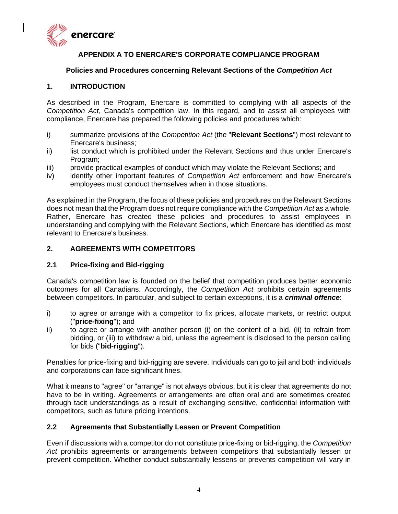

# **APPENDIX A TO ENERCARE'S CORPORATE COMPLIANCE PROGRAM**

#### **Policies and Procedures concerning Relevant Sections of the** *Competition Act*

#### **1. INTRODUCTION**

As described in the Program, Enercare is committed to complying with all aspects of the *Competition Act*, Canada's competition law. In this regard, and to assist all employees with compliance, Enercare has prepared the following policies and procedures which:

- i) summarize provisions of the *Competition Act* (the "**Relevant Sections**") most relevant to Enercare's business;
- ii) list conduct which is prohibited under the Relevant Sections and thus under Enercare's Program;
- iii) provide practical examples of conduct which may violate the Relevant Sections; and
- iv) identify other important features of *Competition Act* enforcement and how Enercare's employees must conduct themselves when in those situations.

As explained in the Program, the focus of these policies and procedures on the Relevant Sections does not mean that the Program does not require compliance with the *Competition Act* as a whole. Rather, Enercare has created these policies and procedures to assist employees in understanding and complying with the Relevant Sections, which Enercare has identified as most relevant to Enercare's business.

## **2. AGREEMENTS WITH COMPETITORS**

## **2.1 Price-fixing and Bid-rigging**

Canada's competition law is founded on the belief that competition produces better economic outcomes for all Canadians. Accordingly, the *Competition Act* prohibits certain agreements between competitors. In particular, and subject to certain exceptions, it is a *criminal offence*:

- i) to agree or arrange with a competitor to fix prices, allocate markets, or restrict output ("**price-fixing**"); and
- ii) to agree or arrange with another person (i) on the content of a bid, (ii) to refrain from bidding, or (iii) to withdraw a bid, unless the agreement is disclosed to the person calling for bids ("**bid-rigging**").

Penalties for price-fixing and bid-rigging are severe. Individuals can go to jail and both individuals and corporations can face significant fines.

What it means to "agree" or "arrange" is not always obvious, but it is clear that agreements do not have to be in writing. Agreements or arrangements are often oral and are sometimes created through tacit understandings as a result of exchanging sensitive, confidential information with competitors, such as future pricing intentions.

## **2.2 Agreements that Substantially Lessen or Prevent Competition**

Even if discussions with a competitor do not constitute price-fixing or bid-rigging, the *Competition Act* prohibits agreements or arrangements between competitors that substantially lessen or prevent competition. Whether conduct substantially lessens or prevents competition will vary in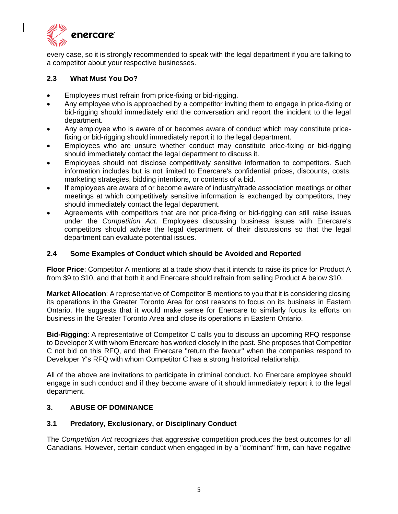

every case, so it is strongly recommended to speak with the legal department if you are talking to a competitor about your respective businesses.

## **2.3 What Must You Do?**

- Employees must refrain from price-fixing or bid-rigging.
- Any employee who is approached by a competitor inviting them to engage in price-fixing or bid-rigging should immediately end the conversation and report the incident to the legal department.
- Any employee who is aware of or becomes aware of conduct which may constitute pricefixing or bid-rigging should immediately report it to the legal department.
- Employees who are unsure whether conduct may constitute price-fixing or bid-rigging should immediately contact the legal department to discuss it.
- Employees should not disclose competitively sensitive information to competitors. Such information includes but is not limited to Enercare's confidential prices, discounts, costs, marketing strategies, bidding intentions, or contents of a bid.
- If employees are aware of or become aware of industry/trade association meetings or other meetings at which competitively sensitive information is exchanged by competitors, they should immediately contact the legal department.
- Agreements with competitors that are not price-fixing or bid-rigging can still raise issues under the *Competition Act*. Employees discussing business issues with Enercare's competitors should advise the legal department of their discussions so that the legal department can evaluate potential issues.

# **2.4 Some Examples of Conduct which should be Avoided and Reported**

**Floor Price**: Competitor A mentions at a trade show that it intends to raise its price for Product A from \$9 to \$10, and that both it and Enercare should refrain from selling Product A below \$10.

**Market Allocation**: A representative of Competitor B mentions to you that it is considering closing its operations in the Greater Toronto Area for cost reasons to focus on its business in Eastern Ontario. He suggests that it would make sense for Enercare to similarly focus its efforts on business in the Greater Toronto Area and close its operations in Eastern Ontario.

**Bid-Rigging**: A representative of Competitor C calls you to discuss an upcoming RFQ response to Developer X with whom Enercare has worked closely in the past. She proposes that Competitor C not bid on this RFQ, and that Enercare "return the favour" when the companies respond to Developer Y's RFQ with whom Competitor C has a strong historical relationship.

All of the above are invitations to participate in criminal conduct. No Enercare employee should engage in such conduct and if they become aware of it should immediately report it to the legal department.

## **3. ABUSE OF DOMINANCE**

## **3.1 Predatory, Exclusionary, or Disciplinary Conduct**

The *Competition Act* recognizes that aggressive competition produces the best outcomes for all Canadians. However, certain conduct when engaged in by a "dominant" firm, can have negative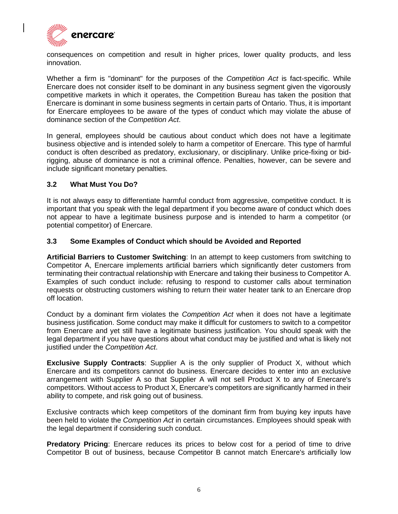

consequences on competition and result in higher prices, lower quality products, and less innovation.

Whether a firm is "dominant" for the purposes of the *Competition Act* is fact-specific. While Enercare does not consider itself to be dominant in any business segment given the vigorously competitive markets in which it operates, the Competition Bureau has taken the position that Enercare is dominant in some business segments in certain parts of Ontario. Thus, it is important for Enercare employees to be aware of the types of conduct which may violate the abuse of dominance section of the *Competition Act*.

In general, employees should be cautious about conduct which does not have a legitimate business objective and is intended solely to harm a competitor of Enercare. This type of harmful conduct is often described as predatory, exclusionary, or disciplinary. Unlike price-fixing or bidrigging, abuse of dominance is not a criminal offence. Penalties, however, can be severe and include significant monetary penalties.

#### **3.2 What Must You Do?**

It is not always easy to differentiate harmful conduct from aggressive, competitive conduct. It is important that you speak with the legal department if you become aware of conduct which does not appear to have a legitimate business purpose and is intended to harm a competitor (or potential competitor) of Enercare.

#### **3.3 Some Examples of Conduct which should be Avoided and Reported**

**Artificial Barriers to Customer Switching**: In an attempt to keep customers from switching to Competitor A, Enercare implements artificial barriers which significantly deter customers from terminating their contractual relationship with Enercare and taking their business to Competitor A. Examples of such conduct include: refusing to respond to customer calls about termination requests or obstructing customers wishing to return their water heater tank to an Enercare drop off location.

Conduct by a dominant firm violates the *Competition Act* when it does not have a legitimate business justification. Some conduct may make it difficult for customers to switch to a competitor from Enercare and yet still have a legitimate business justification. You should speak with the legal department if you have questions about what conduct may be justified and what is likely not justified under the *Competition Act*.

**Exclusive Supply Contracts**: Supplier A is the only supplier of Product X, without which Enercare and its competitors cannot do business. Enercare decides to enter into an exclusive arrangement with Supplier A so that Supplier A will not sell Product X to any of Enercare's competitors. Without access to Product X, Enercare's competitors are significantly harmed in their ability to compete, and risk going out of business.

Exclusive contracts which keep competitors of the dominant firm from buying key inputs have been held to violate the *Competition Act* in certain circumstances. Employees should speak with the legal department if considering such conduct.

**Predatory Pricing**: Enercare reduces its prices to below cost for a period of time to drive Competitor B out of business, because Competitor B cannot match Enercare's artificially low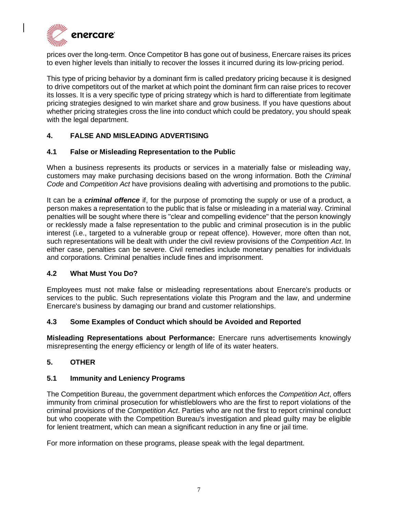

prices over the long-term. Once Competitor B has gone out of business, Enercare raises its prices to even higher levels than initially to recover the losses it incurred during its low-pricing period.

This type of pricing behavior by a dominant firm is called predatory pricing because it is designed to drive competitors out of the market at which point the dominant firm can raise prices to recover its losses. It is a very specific type of pricing strategy which is hard to differentiate from legitimate pricing strategies designed to win market share and grow business. If you have questions about whether pricing strategies cross the line into conduct which could be predatory, you should speak with the legal department.

# **4. FALSE AND MISLEADING ADVERTISING**

#### **4.1 False or Misleading Representation to the Public**

When a business represents its products or services in a materially false or misleading way, customers may make purchasing decisions based on the wrong information. Both the *Criminal Code* and *Competition Act* have provisions dealing with advertising and promotions to the public.

It can be a *criminal offence* if, for the purpose of promoting the supply or use of a product, a person makes a representation to the public that is false or misleading in a material way. Criminal penalties will be sought where there is "clear and compelling evidence" that the person knowingly or recklessly made a false representation to the public and criminal prosecution is in the public interest (i.e., targeted to a vulnerable group or repeat offence). However, more often than not, such representations will be dealt with under the civil review provisions of the *Competition Act*. In either case, penalties can be severe. Civil remedies include monetary penalties for individuals and corporations. Criminal penalties include fines and imprisonment.

#### **4.2 What Must You Do?**

Employees must not make false or misleading representations about Enercare's products or services to the public. Such representations violate this Program and the law, and undermine Enercare's business by damaging our brand and customer relationships.

#### **4.3 Some Examples of Conduct which should be Avoided and Reported**

**Misleading Representations about Performance:** Enercare runs advertisements knowingly misrepresenting the energy efficiency or length of life of its water heaters.

## **5. OTHER**

#### **5.1 Immunity and Leniency Programs**

The Competition Bureau, the government department which enforces the *Competition Act*, offers immunity from criminal prosecution for whistleblowers who are the first to report violations of the criminal provisions of the *Competition Act*. Parties who are not the first to report criminal conduct but who cooperate with the Competition Bureau's investigation and plead guilty may be eligible for lenient treatment, which can mean a significant reduction in any fine or jail time.

For more information on these programs, please speak with the legal department.